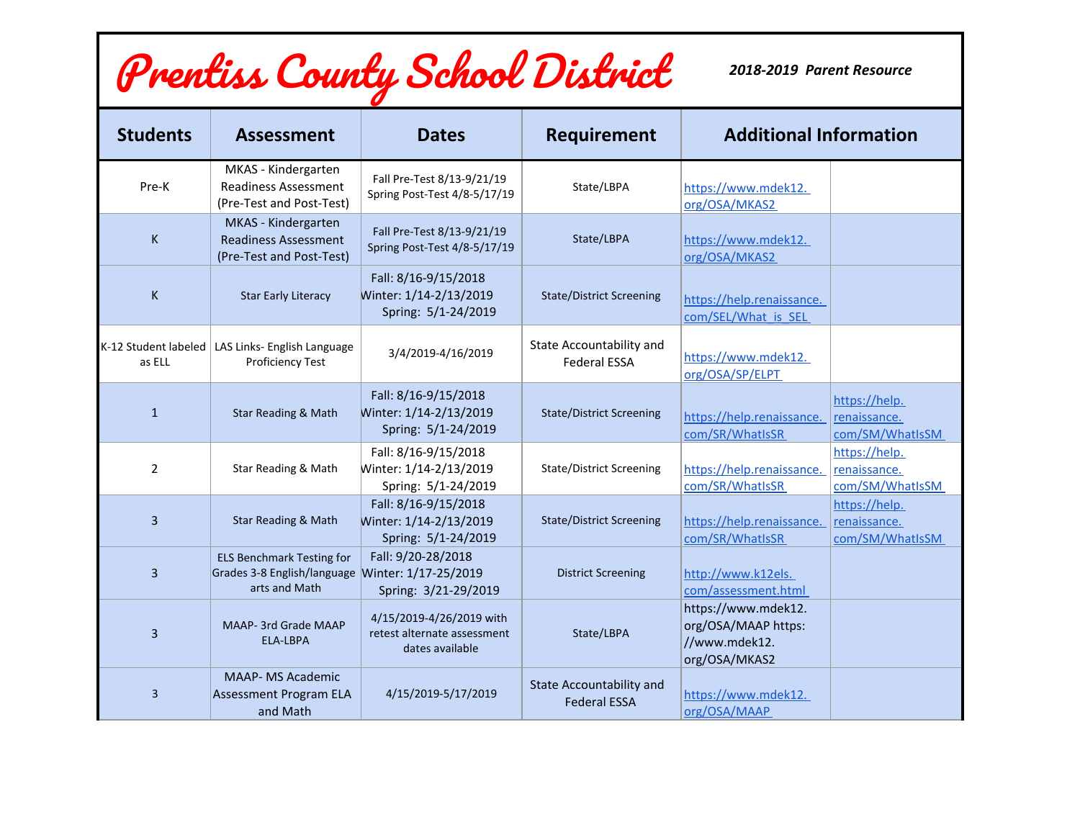## Prentiss County School District

*2018-2019 Parent Resource*

| <b>Students</b>                | <b>Assessment</b>                                                                                     | <b>Dates</b>                                                               | <b>Requirement</b>                                     | <b>Additional Information</b>                                                |                                                  |
|--------------------------------|-------------------------------------------------------------------------------------------------------|----------------------------------------------------------------------------|--------------------------------------------------------|------------------------------------------------------------------------------|--------------------------------------------------|
| Pre-K                          | MKAS - Kindergarten<br><b>Readiness Assessment</b><br>(Pre-Test and Post-Test)                        | Fall Pre-Test 8/13-9/21/19<br>Spring Post-Test 4/8-5/17/19                 | State/LBPA                                             | https://www.mdek12.<br>org/OSA/MKAS2                                         |                                                  |
| K                              | MKAS - Kindergarten<br><b>Readiness Assessment</b><br>(Pre-Test and Post-Test)                        | Fall Pre-Test 8/13-9/21/19<br>Spring Post-Test 4/8-5/17/19                 | State/LBPA                                             | https://www.mdek12.<br>org/OSA/MKAS2                                         |                                                  |
| K                              | <b>Star Early Literacy</b>                                                                            | Fall: 8/16-9/15/2018<br>Winter: 1/14-2/13/2019<br>Spring: 5/1-24/2019      | <b>State/District Screening</b>                        | https://help.renaissance.<br>com/SEL/What is SEL                             |                                                  |
| K-12 Student labeled<br>as ELL | LAS Links- English Language<br><b>Proficiency Test</b>                                                | 3/4/2019-4/16/2019                                                         | State Accountability and<br><b>Federal ESSA</b>        | https://www.mdek12.<br>org/OSA/SP/ELPT                                       |                                                  |
| $\mathbf{1}$                   | <b>Star Reading &amp; Math</b>                                                                        | Fall: 8/16-9/15/2018<br>Winter: 1/14-2/13/2019<br>Spring: 5/1-24/2019      | <b>State/District Screening</b>                        | https://help.renaissance.<br>com/SR/WhatIsSR                                 | https://help.<br>renaissance.<br>com/SM/WhatIsSM |
| $\overline{2}$                 | Star Reading & Math                                                                                   | Fall: 8/16-9/15/2018<br>Winter: 1/14-2/13/2019<br>Spring: 5/1-24/2019      | <b>State/District Screening</b>                        | https://help.renaissance.<br>com/SR/WhatIsSR                                 | https://help.<br>renaissance.<br>com/SM/WhatIsSM |
| $\overline{3}$                 | Star Reading & Math                                                                                   | Fall: 8/16-9/15/2018<br>Winter: 1/14-2/13/2019<br>Spring: 5/1-24/2019      | <b>State/District Screening</b>                        | https://help.renaissance.<br>com/SR/WhatIsSR                                 | https://help.<br>renaissance.<br>com/SM/WhatIsSM |
| $\overline{3}$                 | <b>ELS Benchmark Testing for</b><br>Grades 3-8 English/language Winter: 1/17-25/2019<br>arts and Math | Fall: 9/20-28/2018<br>Spring: 3/21-29/2019                                 | <b>District Screening</b>                              | http://www.k12els.<br>com/assessment.html                                    |                                                  |
| 3                              | <b>MAAP-3rd Grade MAAP</b><br><b>ELA-LBPA</b>                                                         | 4/15/2019-4/26/2019 with<br>retest alternate assessment<br>dates available | State/LBPA                                             | https://www.mdek12.<br>org/OSA/MAAP https:<br>//www.mdek12.<br>org/OSA/MKAS2 |                                                  |
| 3                              | <b>MAAP- MS Academic</b><br><b>Assessment Program ELA</b><br>and Math                                 | 4/15/2019-5/17/2019                                                        | <b>State Accountability and</b><br><b>Federal ESSA</b> | https://www.mdek12.<br>org/OSA/MAAP                                          |                                                  |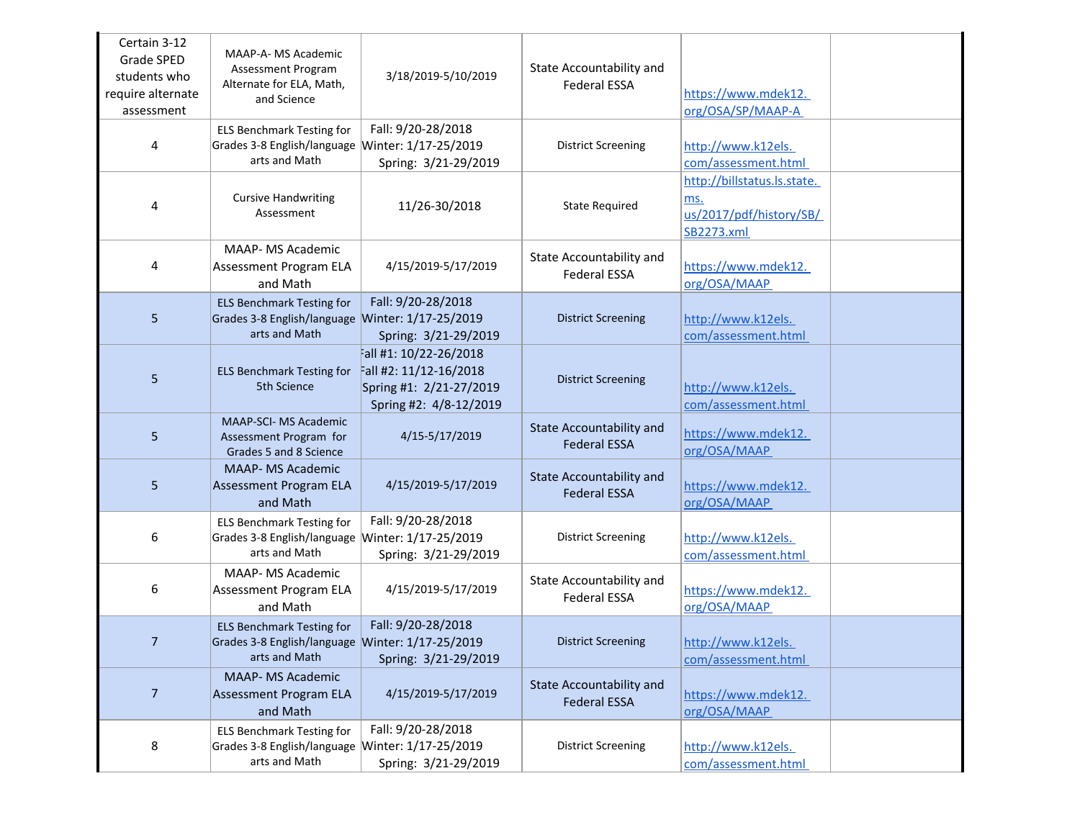| Certain 3-12<br>Grade SPED<br>students who<br>require alternate<br>assessment | MAAP-A- MS Academic<br>Assessment Program<br>Alternate for ELA, Math,<br>and Science                  | 3/18/2019-5/10/2019                                                                                  | State Accountability and<br><b>Federal ESSA</b>        | https://www.mdek12.<br>org/OSA/SP/MAAP-A                                    |
|-------------------------------------------------------------------------------|-------------------------------------------------------------------------------------------------------|------------------------------------------------------------------------------------------------------|--------------------------------------------------------|-----------------------------------------------------------------------------|
| 4                                                                             | <b>ELS Benchmark Testing for</b><br>Grades 3-8 English/language Winter: 1/17-25/2019<br>arts and Math | Fall: 9/20-28/2018<br>Spring: 3/21-29/2019                                                           | <b>District Screening</b>                              | http://www.k12els.<br>com/assessment.html                                   |
| 4                                                                             | <b>Cursive Handwriting</b><br>Assessment                                                              | 11/26-30/2018                                                                                        | <b>State Required</b>                                  | http://billstatus.ls.state.<br>ms.<br>us/2017/pdf/history/SB/<br>SB2273.xml |
| 4                                                                             | MAAP- MS Academic<br><b>Assessment Program ELA</b><br>and Math                                        | 4/15/2019-5/17/2019                                                                                  | State Accountability and<br><b>Federal ESSA</b>        | https://www.mdek12.<br>org/OSA/MAAP                                         |
| 5                                                                             | <b>ELS Benchmark Testing for</b><br>Grades 3-8 English/language Winter: 1/17-25/2019<br>arts and Math | Fall: 9/20-28/2018<br>Spring: 3/21-29/2019                                                           | <b>District Screening</b>                              | http://www.k12els.<br>com/assessment.html                                   |
| 5                                                                             | <b>ELS Benchmark Testing for</b><br>5th Science                                                       | all #1: 10/22-26/2018<br>Fall #2: 11/12-16/2018<br>Spring #1: 2/21-27/2019<br>Spring #2: 4/8-12/2019 | <b>District Screening</b>                              | http://www.k12els.<br>com/assessment.html                                   |
| 5                                                                             | <b>MAAP-SCI- MS Academic</b><br>Assessment Program for<br>Grades 5 and 8 Science                      | 4/15-5/17/2019                                                                                       | <b>State Accountability and</b><br><b>Federal ESSA</b> | https://www.mdek12.<br>org/OSA/MAAP                                         |
| 5                                                                             | <b>MAAP- MS Academic</b><br><b>Assessment Program ELA</b><br>and Math                                 | 4/15/2019-5/17/2019                                                                                  | <b>State Accountability and</b><br><b>Federal ESSA</b> | https://www.mdek12.<br>org/OSA/MAAP                                         |
| 6                                                                             | <b>ELS Benchmark Testing for</b><br>Grades 3-8 English/language Winter: 1/17-25/2019<br>arts and Math | Fall: 9/20-28/2018<br>Spring: 3/21-29/2019                                                           | <b>District Screening</b>                              | http://www.k12els.<br>com/assessment.html                                   |
| 6                                                                             | <b>MAAP- MS Academic</b><br><b>Assessment Program ELA</b><br>and Math                                 | 4/15/2019-5/17/2019                                                                                  | State Accountability and<br><b>Federal ESSA</b>        | https://www.mdek12.<br>org/OSA/MAAP                                         |
| 7                                                                             | <b>ELS Benchmark Testing for</b><br>Grades 3-8 English/language Winter: 1/17-25/2019<br>arts and Math | Fall: 9/20-28/2018<br>Spring: 3/21-29/2019                                                           | <b>District Screening</b>                              | http://www.k12els.<br>com/assessment.html                                   |
| $\overline{7}$                                                                | <b>MAAP- MS Academic</b><br><b>Assessment Program ELA</b><br>and Math                                 | 4/15/2019-5/17/2019                                                                                  | State Accountability and<br><b>Federal ESSA</b>        | https://www.mdek12.<br>org/OSA/MAAP                                         |
| 8                                                                             | <b>ELS Benchmark Testing for</b><br>Grades 3-8 English/language Winter: 1/17-25/2019<br>arts and Math | Fall: 9/20-28/2018<br>Spring: 3/21-29/2019                                                           | <b>District Screening</b>                              | http://www.k12els.<br>com/assessment.html                                   |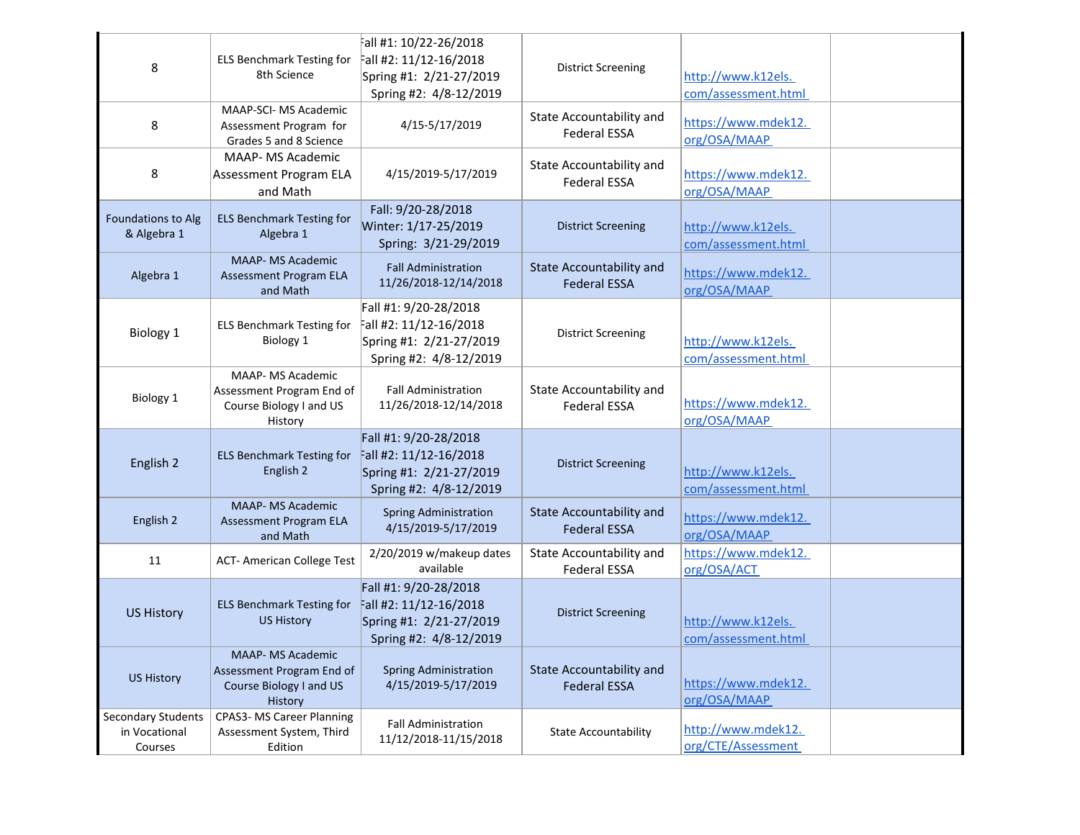| 8                                                     | <b>ELS Benchmark Testing for</b><br>8th Science                                             | all #1: 10/22-26/2018<br>Fall #2: 11/12-16/2018<br>Spring #1: 2/21-27/2019<br>Spring #2: 4/8-12/2019 | <b>District Screening</b>                              | http://www.k12els.<br>com/assessment.html |
|-------------------------------------------------------|---------------------------------------------------------------------------------------------|------------------------------------------------------------------------------------------------------|--------------------------------------------------------|-------------------------------------------|
| 8                                                     | MAAP-SCI- MS Academic<br>Assessment Program for<br>Grades 5 and 8 Science                   | 4/15-5/17/2019                                                                                       | <b>State Accountability and</b><br><b>Federal ESSA</b> | https://www.mdek12.<br>org/OSA/MAAP       |
| 8                                                     | <b>MAAP- MS Academic</b><br>Assessment Program ELA<br>and Math                              | 4/15/2019-5/17/2019                                                                                  | State Accountability and<br><b>Federal ESSA</b>        | https://www.mdek12.<br>org/OSA/MAAP       |
| Foundations to Alg<br>& Algebra 1                     | <b>ELS Benchmark Testing for</b><br>Algebra 1                                               | Fall: 9/20-28/2018<br>Winter: 1/17-25/2019<br>Spring: 3/21-29/2019                                   | <b>District Screening</b>                              | http://www.k12els.<br>com/assessment.html |
| Algebra 1                                             | <b>MAAP- MS Academic</b><br>Assessment Program ELA<br>and Math                              | <b>Fall Administration</b><br>11/26/2018-12/14/2018                                                  | <b>State Accountability and</b><br><b>Federal ESSA</b> | https://www.mdek12.<br>org/OSA/MAAP       |
| Biology 1                                             | <b>ELS Benchmark Testing for</b><br>Biology 1                                               | Fall #1: 9/20-28/2018<br>Fall #2: 11/12-16/2018<br>Spring #1: 2/21-27/2019<br>Spring #2: 4/8-12/2019 | <b>District Screening</b>                              | http://www.k12els.<br>com/assessment.html |
| Biology 1                                             | MAAP- MS Academic<br>Assessment Program End of<br>Course Biology I and US<br>History        | <b>Fall Administration</b><br>11/26/2018-12/14/2018                                                  | State Accountability and<br><b>Federal ESSA</b>        | https://www.mdek12.<br>org/OSA/MAAP       |
| English 2                                             | <b>ELS Benchmark Testing for</b><br>English 2                                               | Fall #1: 9/20-28/2018<br>Fall #2: 11/12-16/2018<br>Spring #1: 2/21-27/2019<br>Spring #2: 4/8-12/2019 | <b>District Screening</b>                              | http://www.k12els.<br>com/assessment.html |
| English 2                                             | <b>MAAP- MS Academic</b><br>Assessment Program ELA<br>and Math                              | <b>Spring Administration</b><br>4/15/2019-5/17/2019                                                  | <b>State Accountability and</b><br><b>Federal ESSA</b> | https://www.mdek12.<br>org/OSA/MAAP       |
| 11                                                    | <b>ACT-American College Test</b>                                                            | 2/20/2019 w/makeup dates<br>available                                                                | State Accountability and<br><b>Federal ESSA</b>        | https://www.mdek12.<br>org/OSA/ACT        |
| <b>US History</b>                                     | <b>ELS Benchmark Testing for</b><br><b>US History</b>                                       | Fall #1: 9/20-28/2018<br>Fall #2: 11/12-16/2018<br>Spring #1: 2/21-27/2019<br>Spring #2: 4/8-12/2019 | <b>District Screening</b>                              | http://www.k12els.<br>com/assessment.html |
| <b>US History</b>                                     | <b>MAAP- MS Academic</b><br>Assessment Program End of<br>Course Biology I and US<br>History | <b>Spring Administration</b><br>4/15/2019-5/17/2019                                                  | <b>State Accountability and</b><br><b>Federal ESSA</b> | https://www.mdek12.<br>org/OSA/MAAP       |
| <b>Secondary Students</b><br>in Vocational<br>Courses | <b>CPAS3- MS Career Planning</b><br>Assessment System, Third<br>Edition                     | Fall Administration<br>11/12/2018-11/15/2018                                                         | <b>State Accountability</b>                            | http://www.mdek12.<br>org/CTE/Assessment  |